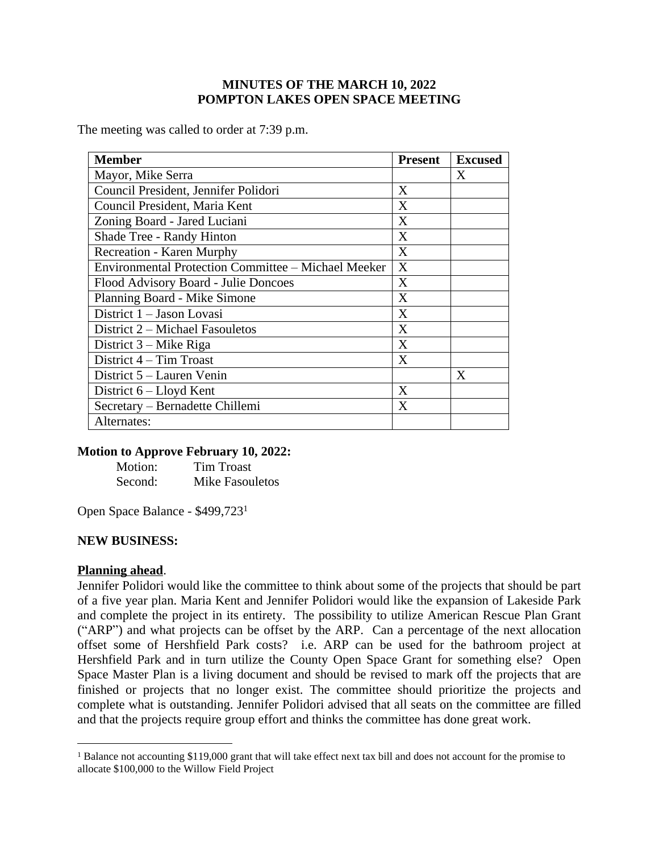### **MINUTES OF THE MARCH 10, 2022 POMPTON LAKES OPEN SPACE MEETING**

The meeting was called to order at 7:39 p.m.

| <b>Member</b>                                       | <b>Present</b> | <b>Excused</b> |
|-----------------------------------------------------|----------------|----------------|
| Mayor, Mike Serra                                   |                | X              |
| Council President, Jennifer Polidori                | X              |                |
| Council President, Maria Kent                       | X              |                |
| Zoning Board - Jared Luciani                        | X              |                |
| Shade Tree - Randy Hinton                           | X              |                |
| Recreation - Karen Murphy                           | X              |                |
| Environmental Protection Committee – Michael Meeker | X              |                |
| Flood Advisory Board - Julie Doncoes                | X              |                |
| Planning Board - Mike Simone                        | X              |                |
| District 1 – Jason Lovasi                           | X              |                |
| District 2 – Michael Fasouletos                     | X              |                |
| District $3 -$ Mike Riga                            | X              |                |
| District 4 – Tim Troast                             | X              |                |
| District 5 – Lauren Venin                           |                | X              |
| District $6$ – Lloyd Kent                           | X              |                |
| Secretary - Bernadette Chillemi                     | X              |                |
| Alternates:                                         |                |                |

#### **Motion to Approve February 10, 2022:**

Motion: Tim Troast Second: Mike Fasouletos

Open Space Balance - \$499,723<sup>1</sup>

#### **NEW BUSINESS:**

#### **Planning ahead**.

Jennifer Polidori would like the committee to think about some of the projects that should be part of a five year plan. Maria Kent and Jennifer Polidori would like the expansion of Lakeside Park and complete the project in its entirety. The possibility to utilize American Rescue Plan Grant ("ARP") and what projects can be offset by the ARP. Can a percentage of the next allocation offset some of Hershfield Park costs? i.e. ARP can be used for the bathroom project at Hershfield Park and in turn utilize the County Open Space Grant for something else? Open Space Master Plan is a living document and should be revised to mark off the projects that are finished or projects that no longer exist. The committee should prioritize the projects and complete what is outstanding. Jennifer Polidori advised that all seats on the committee are filled and that the projects require group effort and thinks the committee has done great work.

<sup>&</sup>lt;sup>1</sup> Balance not accounting \$119,000 grant that will take effect next tax bill and does not account for the promise to allocate \$100,000 to the Willow Field Project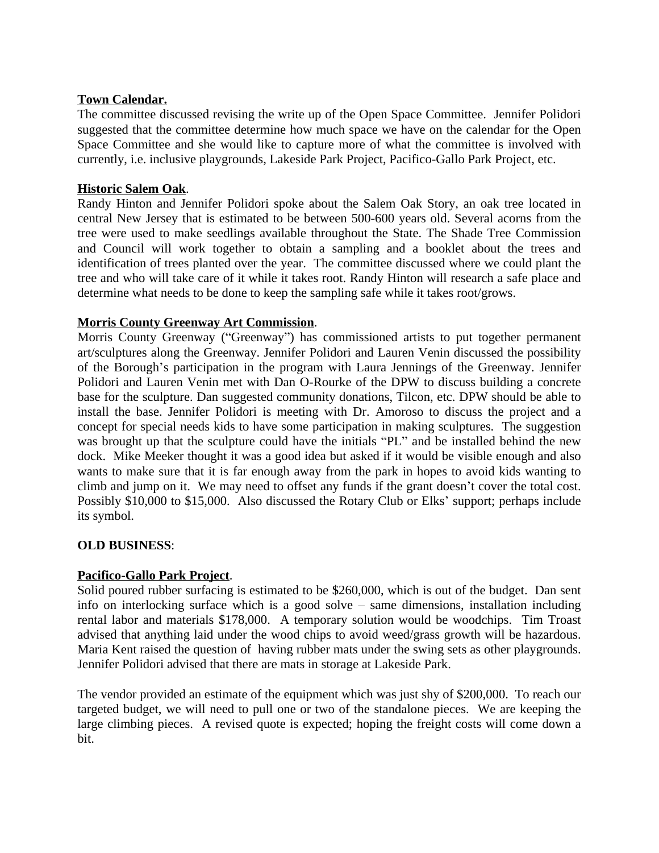#### **Town Calendar.**

The committee discussed revising the write up of the Open Space Committee. Jennifer Polidori suggested that the committee determine how much space we have on the calendar for the Open Space Committee and she would like to capture more of what the committee is involved with currently, i.e. inclusive playgrounds, Lakeside Park Project, Pacifico-Gallo Park Project, etc.

## **Historic Salem Oak**.

Randy Hinton and Jennifer Polidori spoke about the Salem Oak Story, an oak tree located in central New Jersey that is estimated to be between 500-600 years old. Several acorns from the tree were used to make seedlings available throughout the State. The Shade Tree Commission and Council will work together to obtain a sampling and a booklet about the trees and identification of trees planted over the year. The committee discussed where we could plant the tree and who will take care of it while it takes root. Randy Hinton will research a safe place and determine what needs to be done to keep the sampling safe while it takes root/grows.

### **Morris County Greenway Art Commission**.

Morris County Greenway ("Greenway") has commissioned artists to put together permanent art/sculptures along the Greenway. Jennifer Polidori and Lauren Venin discussed the possibility of the Borough's participation in the program with Laura Jennings of the Greenway. Jennifer Polidori and Lauren Venin met with Dan O-Rourke of the DPW to discuss building a concrete base for the sculpture. Dan suggested community donations, Tilcon, etc. DPW should be able to install the base. Jennifer Polidori is meeting with Dr. Amoroso to discuss the project and a concept for special needs kids to have some participation in making sculptures. The suggestion was brought up that the sculpture could have the initials "PL" and be installed behind the new dock. Mike Meeker thought it was a good idea but asked if it would be visible enough and also wants to make sure that it is far enough away from the park in hopes to avoid kids wanting to climb and jump on it. We may need to offset any funds if the grant doesn't cover the total cost. Possibly \$10,000 to \$15,000. Also discussed the Rotary Club or Elks' support; perhaps include its symbol.

## **OLD BUSINESS**:

## **Pacifico-Gallo Park Project**.

Solid poured rubber surfacing is estimated to be \$260,000, which is out of the budget. Dan sent info on interlocking surface which is a good solve – same dimensions, installation including rental labor and materials \$178,000. A temporary solution would be woodchips. Tim Troast advised that anything laid under the wood chips to avoid weed/grass growth will be hazardous. Maria Kent raised the question of having rubber mats under the swing sets as other playgrounds. Jennifer Polidori advised that there are mats in storage at Lakeside Park.

The vendor provided an estimate of the equipment which was just shy of \$200,000. To reach our targeted budget, we will need to pull one or two of the standalone pieces. We are keeping the large climbing pieces. A revised quote is expected; hoping the freight costs will come down a bit.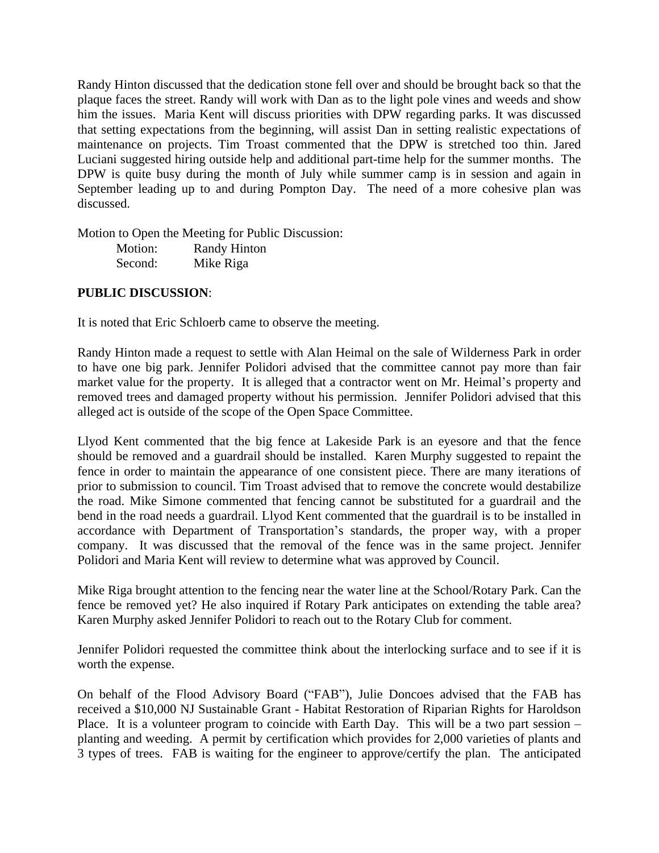Randy Hinton discussed that the dedication stone fell over and should be brought back so that the plaque faces the street. Randy will work with Dan as to the light pole vines and weeds and show him the issues. Maria Kent will discuss priorities with DPW regarding parks. It was discussed that setting expectations from the beginning, will assist Dan in setting realistic expectations of maintenance on projects. Tim Troast commented that the DPW is stretched too thin. Jared Luciani suggested hiring outside help and additional part-time help for the summer months. The DPW is quite busy during the month of July while summer camp is in session and again in September leading up to and during Pompton Day. The need of a more cohesive plan was discussed.

Motion to Open the Meeting for Public Discussion:

| Motion: | <b>Randy Hinton</b> |
|---------|---------------------|
| Second: | Mike Riga           |

# **PUBLIC DISCUSSION**:

It is noted that Eric Schloerb came to observe the meeting.

Randy Hinton made a request to settle with Alan Heimal on the sale of Wilderness Park in order to have one big park. Jennifer Polidori advised that the committee cannot pay more than fair market value for the property. It is alleged that a contractor went on Mr. Heimal's property and removed trees and damaged property without his permission. Jennifer Polidori advised that this alleged act is outside of the scope of the Open Space Committee.

Llyod Kent commented that the big fence at Lakeside Park is an eyesore and that the fence should be removed and a guardrail should be installed. Karen Murphy suggested to repaint the fence in order to maintain the appearance of one consistent piece. There are many iterations of prior to submission to council. Tim Troast advised that to remove the concrete would destabilize the road. Mike Simone commented that fencing cannot be substituted for a guardrail and the bend in the road needs a guardrail. Llyod Kent commented that the guardrail is to be installed in accordance with Department of Transportation's standards, the proper way, with a proper company. It was discussed that the removal of the fence was in the same project. Jennifer Polidori and Maria Kent will review to determine what was approved by Council.

Mike Riga brought attention to the fencing near the water line at the School/Rotary Park. Can the fence be removed yet? He also inquired if Rotary Park anticipates on extending the table area? Karen Murphy asked Jennifer Polidori to reach out to the Rotary Club for comment.

Jennifer Polidori requested the committee think about the interlocking surface and to see if it is worth the expense.

On behalf of the Flood Advisory Board ("FAB"), Julie Doncoes advised that the FAB has received a \$10,000 NJ Sustainable Grant - Habitat Restoration of Riparian Rights for Haroldson Place. It is a volunteer program to coincide with Earth Day. This will be a two part session – planting and weeding. A permit by certification which provides for 2,000 varieties of plants and 3 types of trees. FAB is waiting for the engineer to approve/certify the plan. The anticipated